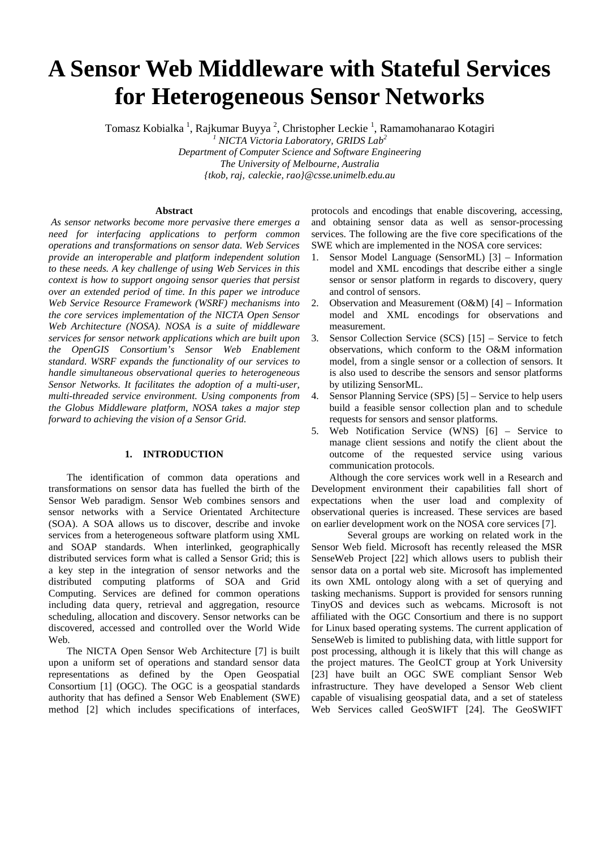# **A Sensor Web Middleware with Stateful Services for Heterogeneous Sensor Networks**

Tomasz Kobialka<sup>1</sup>, Rajkumar Buyya<sup>2</sup>, Christopher Leckie<sup>1</sup>, Ramamohanarao Kotagiri

 *NICTA Victoria Laboratory, GRIDS Lab<sup>2</sup> Department of Computer Science and Software Engineering The University of Melbourne, Australia {tkob, raj, caleckie, rao}@csse.unimelb.edu.au*

#### **Abstract**

 *As sensor networks become more pervasive there emerges a need for interfacing applications to perform common operations and transformations on sensor data. Web Services provide an interoperable and platform independent solution to these needs. A key challenge of using Web Services in this context is how to support ongoing sensor queries that persist over an extended period of time. In this paper we introduce Web Service Resource Framework (WSRF) mechanisms into the core services implementation of the NICTA Open Sensor Web Architecture (NOSA). NOSA is a suite of middleware services for sensor network applications which are built upon the OpenGIS Consortium's Sensor Web Enablement standard. WSRF expands the functionality of our services to handle simultaneous observational queries to heterogeneous Sensor Networks. It facilitates the adoption of a multi-user, multi-threaded service environment. Using components from the Globus Middleware platform, NOSA takes a major step forward to achieving the vision of a Sensor Grid.* 

#### **1. INTRODUCTION**

The identification of common data operations and transformations on sensor data has fuelled the birth of the Sensor Web paradigm. Sensor Web combines sensors and sensor networks with a Service Orientated Architecture (SOA). A SOA allows us to discover, describe and invoke services from a heterogeneous software platform using XML and SOAP standards. When interlinked, geographically distributed services form what is called a Sensor Grid; this is a key step in the integration of sensor networks and the distributed computing platforms of SOA and Grid Computing. Services are defined for common operations including data query, retrieval and aggregation, resource scheduling, allocation and discovery. Sensor networks can be discovered, accessed and controlled over the World Wide Web.

The NICTA Open Sensor Web Architecture [7] is built upon a uniform set of operations and standard sensor data representations as defined by the Open Geospatial Consortium [1] (OGC). The OGC is a geospatial standards authority that has defined a Sensor Web Enablement (SWE) method [2] which includes specifications of interfaces,

protocols and encodings that enable discovering, accessing, and obtaining sensor data as well as sensor-processing services. The following are the five core specifications of the SWE which are implemented in the NOSA core services:

- 1. Sensor Model Language (SensorML) [3] Information model and XML encodings that describe either a single sensor or sensor platform in regards to discovery, query and control of sensors.
- 2. Observation and Measurement (O&M) [4] Information model and XML encodings for observations and measurement.
- 3. Sensor Collection Service (SCS) [15] Service to fetch observations, which conform to the O&M information model, from a single sensor or a collection of sensors. It is also used to describe the sensors and sensor platforms by utilizing SensorML.
- 4. Sensor Planning Service (SPS) [5] Service to help users build a feasible sensor collection plan and to schedule requests for sensors and sensor platforms.
- 5. Web Notification Service (WNS) [6] Service to manage client sessions and notify the client about the outcome of the requested service using various communication protocols.

Although the core services work well in a Research and Development environment their capabilities fall short of expectations when the user load and complexity of observational queries is increased. These services are based on earlier development work on the NOSA core services [7].

Several groups are working on related work in the Sensor Web field. Microsoft has recently released the MSR SenseWeb Project [22] which allows users to publish their sensor data on a portal web site. Microsoft has implemented its own XML ontology along with a set of querying and tasking mechanisms. Support is provided for sensors running TinyOS and devices such as webcams. Microsoft is not affiliated with the OGC Consortium and there is no support for Linux based operating systems. The current application of SenseWeb is limited to publishing data, with little support for post processing, although it is likely that this will change as the project matures. The GeoICT group at York University [23] have built an OGC SWE compliant Sensor Web infrastructure. They have developed a Sensor Web client capable of visualising geospatial data, and a set of stateless Web Services called GeoSWIFT [24]. The GeoSWIFT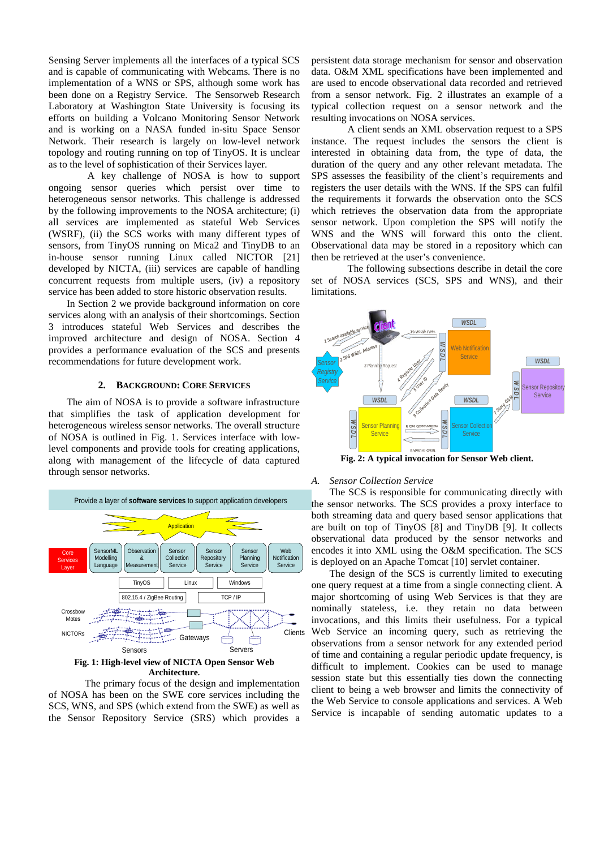Sensing Server implements all the interfaces of a typical SCS and is capable of communicating with Webcams. There is no implementation of a WNS or SPS, although some work has been done on a Registry Service. The Sensorweb Research Laboratory at Washington State University is focusing its efforts on building a Volcano Monitoring Sensor Network and is working on a NASA funded in-situ Space Sensor Network. Their research is largely on low-level network topology and routing running on top of TinyOS. It is unclear as to the level of sophistication of their Services layer.

A key challenge of NOSA is how to support ongoing sensor queries which persist over time to heterogeneous sensor networks. This challenge is addressed by the following improvements to the NOSA architecture; (i) all services are implemented as stateful Web Services (WSRF), (ii) the SCS works with many different types of sensors, from TinyOS running on Mica2 and TinyDB to an in-house sensor running Linux called NICTOR [21] developed by NICTA, (iii) services are capable of handling concurrent requests from multiple users, (iv) a repository service has been added to store historic observation results.

In Section 2 we provide background information on core services along with an analysis of their shortcomings. Section 3 introduces stateful Web Services and describes the improved architecture and design of NOSA. Section 4 provides a performance evaluation of the SCS and presents recommendations for future development work.

## **2. BACKGROUND: CORE SERVICES**

The aim of NOSA is to provide a software infrastructure that simplifies the task of application development for heterogeneous wireless sensor networks. The overall structure of NOSA is outlined in Fig. 1. Services interface with lowlevel components and provide tools for creating applications, along with management of the lifecycle of data captured through sensor networks.



**Architecture.**

The primary focus of the design and implementation of NOSA has been on the SWE core services including the SCS, WNS, and SPS (which extend from the SWE) as well as the Sensor Repository Service (SRS) which provides a

persistent data storage mechanism for sensor and observation data. O&M XML specifications have been implemented and are used to encode observational data recorded and retrieved from a sensor network. Fig. 2 illustrates an example of a typical collection request on a sensor network and the resulting invocations on NOSA services.

A client sends an XML observation request to a SPS instance. The request includes the sensors the client is interested in obtaining data from, the type of data, the duration of the query and any other relevant metadata. The SPS assesses the feasibility of the client's requirements and registers the user details with the WNS. If the SPS can fulfil the requirements it forwards the observation onto the SCS which retrieves the observation data from the appropriate sensor network. Upon completion the SPS will notify the WNS and the WNS will forward this onto the client. Observational data may be stored in a repository which can then be retrieved at the user's convenience.

The following subsections describe in detail the core set of NOSA services (SCS, SPS and WNS), and their limitations.



**Fig. 2: A typical invocation for Sensor Web client.**

# *A. Sensor Collection Service*

The SCS is responsible for communicating directly with the sensor networks. The SCS provides a proxy interface to both streaming data and query based sensor applications that are built on top of TinyOS [8] and TinyDB [9]. It collects observational data produced by the sensor networks and encodes it into XML using the O&M specification. The SCS is deployed on an Apache Tomcat [10] servlet container.

The design of the SCS is currently limited to executing one query request at a time from a single connecting client. A major shortcoming of using Web Services is that they are nominally stateless, i.e. they retain no data between invocations, and this limits their usefulness. For a typical Web Service an incoming query, such as retrieving the observations from a sensor network for any extended period of time and containing a regular periodic update frequency, is difficult to implement. Cookies can be used to manage session state but this essentially ties down the connecting client to being a web browser and limits the connectivity of the Web Service to console applications and services. A Web Service is incapable of sending automatic updates to a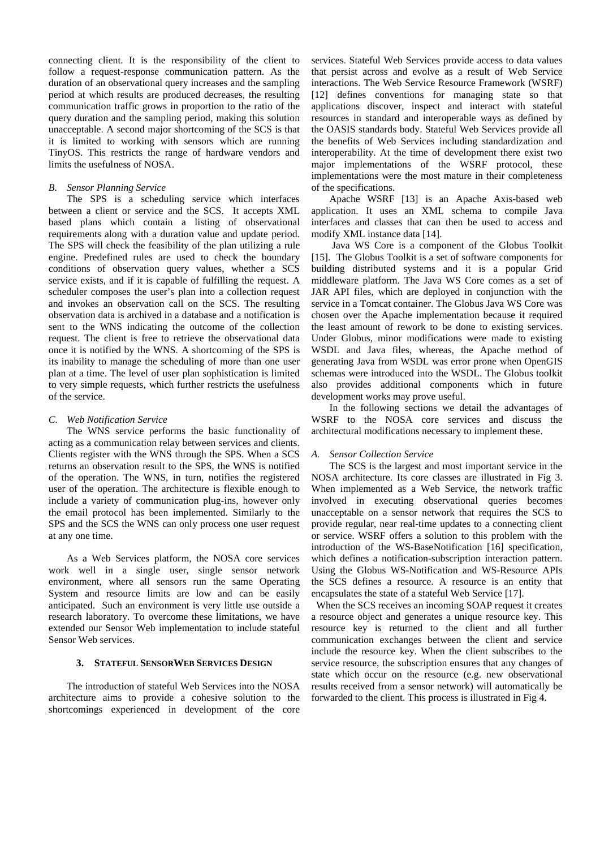connecting client. It is the responsibility of the client to follow a request-response communication pattern. As the duration of an observational query increases and the sampling period at which results are produced decreases, the resulting communication traffic grows in proportion to the ratio of the query duration and the sampling period, making this solution unacceptable. A second major shortcoming of the SCS is that it is limited to working with sensors which are running TinyOS. This restricts the range of hardware vendors and limits the usefulness of NOSA.

#### *B. Sensor Planning Service*

The SPS is a scheduling service which interfaces between a client or service and the SCS. It accepts XML based plans which contain a listing of observational requirements along with a duration value and update period. The SPS will check the feasibility of the plan utilizing a rule engine. Predefined rules are used to check the boundary conditions of observation query values, whether a SCS service exists, and if it is capable of fulfilling the request. A scheduler composes the user's plan into a collection request and invokes an observation call on the SCS. The resulting observation data is archived in a database and a notification is sent to the WNS indicating the outcome of the collection request. The client is free to retrieve the observational data once it is notified by the WNS. A shortcoming of the SPS is its inability to manage the scheduling of more than one user plan at a time. The level of user plan sophistication is limited to very simple requests, which further restricts the usefulness of the service.

## *C. Web Notification Service*

The WNS service performs the basic functionality of acting as a communication relay between services and clients. Clients register with the WNS through the SPS. When a SCS returns an observation result to the SPS, the WNS is notified of the operation. The WNS, in turn, notifies the registered user of the operation. The architecture is flexible enough to include a variety of communication plug-ins, however only the email protocol has been implemented. Similarly to the SPS and the SCS the WNS can only process one user request at any one time.

As a Web Services platform, the NOSA core services work well in a single user, single sensor network environment, where all sensors run the same Operating System and resource limits are low and can be easily anticipated. Such an environment is very little use outside a research laboratory. To overcome these limitations, we have extended our Sensor Web implementation to include stateful Sensor Web services.

# **3. STATEFUL SENSORWEB SERVICES DESIGN**

The introduction of stateful Web Services into the NOSA architecture aims to provide a cohesive solution to the shortcomings experienced in development of the core

services. Stateful Web Services provide access to data values that persist across and evolve as a result of Web Service interactions. The Web Service Resource Framework (WSRF) [12] defines conventions for managing state so that applications discover, inspect and interact with stateful resources in standard and interoperable ways as defined by the OASIS standards body. Stateful Web Services provide all the benefits of Web Services including standardization and interoperability. At the time of development there exist two major implementations of the WSRF protocol, these implementations were the most mature in their completeness of the specifications.

Apache WSRF [13] is an Apache Axis-based web application. It uses an XML schema to compile Java interfaces and classes that can then be used to access and modify XML instance data [14].

Java WS Core is a component of the Globus Toolkit [15]. The Globus Toolkit is a set of software components for building distributed systems and it is a popular Grid middleware platform. The Java WS Core comes as a set of JAR API files, which are deployed in conjunction with the service in a Tomcat container. The Globus Java WS Core was chosen over the Apache implementation because it required the least amount of rework to be done to existing services. Under Globus, minor modifications were made to existing WSDL and Java files, whereas, the Apache method of generating Java from WSDL was error prone when OpenGIS schemas were introduced into the WSDL. The Globus toolkit also provides additional components which in future development works may prove useful.

In the following sections we detail the advantages of WSRF to the NOSA core services and discuss the architectural modifications necessary to implement these.

#### *A. Sensor Collection Service*

The SCS is the largest and most important service in the NOSA architecture. Its core classes are illustrated in Fig 3. When implemented as a Web Service, the network traffic involved in executing observational queries becomes unacceptable on a sensor network that requires the SCS to provide regular, near real-time updates to a connecting client or service. WSRF offers a solution to this problem with the introduction of the WS-BaseNotification [16] specification, which defines a notification-subscription interaction pattern. Using the Globus WS-Notification and WS-Resource APIs the SCS defines a resource. A resource is an entity that encapsulates the state of a stateful Web Service [17].

 When the SCS receives an incoming SOAP request it creates a resource object and generates a unique resource key. This resource key is returned to the client and all further communication exchanges between the client and service include the resource key. When the client subscribes to the service resource, the subscription ensures that any changes of state which occur on the resource (e.g. new observational results received from a sensor network) will automatically be forwarded to the client. This process is illustrated in Fig 4.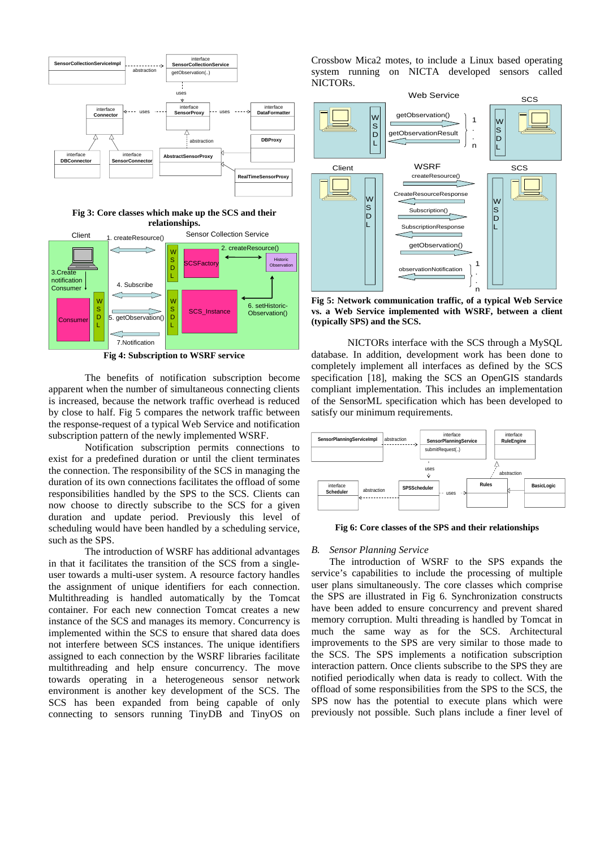

**Fig 3: Core classes which make up the SCS and their relationships.** 



**Fig 4: Subscription to WSRF service**

The benefits of notification subscription become apparent when the number of simultaneous connecting clients is increased, because the network traffic overhead is reduced by close to half. Fig 5 compares the network traffic between the response-request of a typical Web Service and notification subscription pattern of the newly implemented WSRF.

Notification subscription permits connections to exist for a predefined duration or until the client terminates the connection. The responsibility of the SCS in managing the duration of its own connections facilitates the offload of some responsibilities handled by the SPS to the SCS. Clients can now choose to directly subscribe to the SCS for a given duration and update period. Previously this level of scheduling would have been handled by a scheduling service, such as the SPS.

The introduction of WSRF has additional advantages in that it facilitates the transition of the SCS from a singleuser towards a multi-user system. A resource factory handles the assignment of unique identifiers for each connection. Multithreading is handled automatically by the Tomcat container. For each new connection Tomcat creates a new instance of the SCS and manages its memory. Concurrency is implemented within the SCS to ensure that shared data does not interfere between SCS instances. The unique identifiers assigned to each connection by the WSRF libraries facilitate multithreading and help ensure concurrency. The move towards operating in a heterogeneous sensor network environment is another key development of the SCS. The SCS has been expanded from being capable of only connecting to sensors running TinyDB and TinyOS on

Crossbow Mica2 motes, to include a Linux based operating system running on NICTA developed sensors called NICTORs.



**Fig 5: Network communication traffic, of a typical Web Service vs. a Web Service implemented with WSRF, between a client (typically SPS) and the SCS.** 

NICTORs interface with the SCS through a MySQL database. In addition, development work has been done to completely implement all interfaces as defined by the SCS specification [18], making the SCS an OpenGIS standards compliant implementation. This includes an implementation of the SensorML specification which has been developed to satisfy our minimum requirements.



**Fig 6: Core classes of the SPS and their relationships**

*B. Sensor Planning Service*

The introduction of WSRF to the SPS expands the service's capabilities to include the processing of multiple user plans simultaneously. The core classes which comprise the SPS are illustrated in Fig 6. Synchronization constructs have been added to ensure concurrency and prevent shared memory corruption. Multi threading is handled by Tomcat in much the same way as for the SCS. Architectural improvements to the SPS are very similar to those made to the SCS. The SPS implements a notification subscription interaction pattern. Once clients subscribe to the SPS they are notified periodically when data is ready to collect. With the offload of some responsibilities from the SPS to the SCS, the SPS now has the potential to execute plans which were previously not possible. Such plans include a finer level of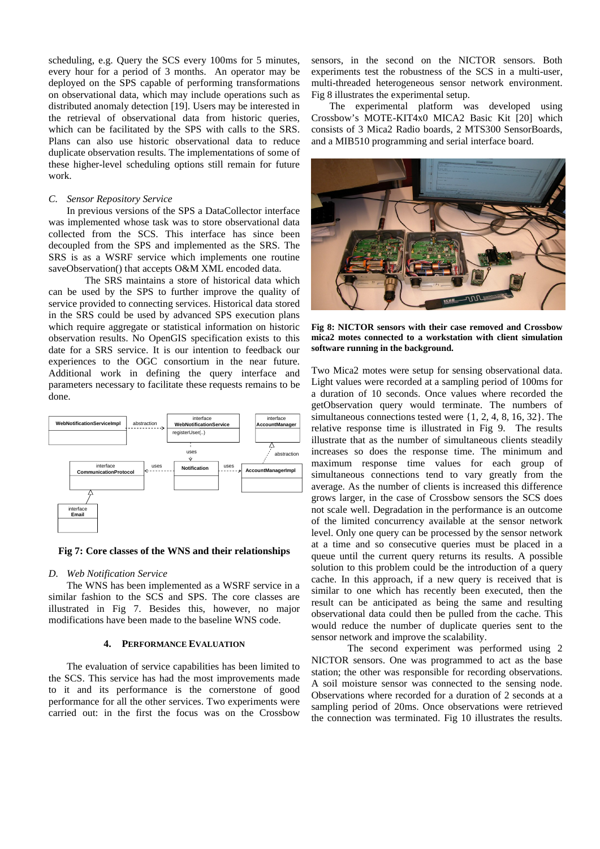scheduling, e.g. Query the SCS every 100ms for 5 minutes, every hour for a period of 3 months. An operator may be deployed on the SPS capable of performing transformations on observational data, which may include operations such as distributed anomaly detection [19]. Users may be interested in the retrieval of observational data from historic queries, which can be facilitated by the SPS with calls to the SRS. Plans can also use historic observational data to reduce duplicate observation results. The implementations of some of these higher-level scheduling options still remain for future work.

#### *C. Sensor Repository Service*

In previous versions of the SPS a DataCollector interface was implemented whose task was to store observational data collected from the SCS. This interface has since been decoupled from the SPS and implemented as the SRS. The SRS is as a WSRF service which implements one routine saveObservation() that accepts O&M XML encoded data.

The SRS maintains a store of historical data which can be used by the SPS to further improve the quality of service provided to connecting services. Historical data stored in the SRS could be used by advanced SPS execution plans which require aggregate or statistical information on historic observation results. No OpenGIS specification exists to this date for a SRS service. It is our intention to feedback our experiences to the OGC consortium in the near future. Additional work in defining the query interface and parameters necessary to facilitate these requests remains to be done.



#### **Fig 7: Core classes of the WNS and their relationships**

#### *D. Web Notification Service*

The WNS has been implemented as a WSRF service in a similar fashion to the SCS and SPS. The core classes are illustrated in Fig 7. Besides this, however, no major modifications have been made to the baseline WNS code.

# **4. PERFORMANCE EVALUATION**

The evaluation of service capabilities has been limited to the SCS. This service has had the most improvements made to it and its performance is the cornerstone of good performance for all the other services. Two experiments were carried out: in the first the focus was on the Crossbow

sensors, in the second on the NICTOR sensors. Both experiments test the robustness of the SCS in a multi-user, multi-threaded heterogeneous sensor network environment. Fig 8 illustrates the experimental setup.

The experimental platform was developed using Crossbow's MOTE-KIT4x0 MICA2 Basic Kit [20] which consists of 3 Mica2 Radio boards, 2 MTS300 SensorBoards, and a MIB510 programming and serial interface board.



**Fig 8: NICTOR sensors with their case removed and Crossbow mica2 motes connected to a workstation with client simulation software running in the background.**

Two Mica2 motes were setup for sensing observational data. Light values were recorded at a sampling period of 100ms for a duration of 10 seconds. Once values where recorded the getObservation query would terminate. The numbers of simultaneous connections tested were {1, 2, 4, 8, 16, 32}. The relative response time is illustrated in Fig 9. The results illustrate that as the number of simultaneous clients steadily increases so does the response time. The minimum and maximum response time values for each group of simultaneous connections tend to vary greatly from the average. As the number of clients is increased this difference grows larger, in the case of Crossbow sensors the SCS does not scale well. Degradation in the performance is an outcome of the limited concurrency available at the sensor network level. Only one query can be processed by the sensor network at a time and so consecutive queries must be placed in a queue until the current query returns its results. A possible solution to this problem could be the introduction of a query cache. In this approach, if a new query is received that is similar to one which has recently been executed, then the result can be anticipated as being the same and resulting observational data could then be pulled from the cache. This would reduce the number of duplicate queries sent to the sensor network and improve the scalability.

The second experiment was performed using 2 NICTOR sensors. One was programmed to act as the base station; the other was responsible for recording observations. A soil moisture sensor was connected to the sensing node. Observations where recorded for a duration of 2 seconds at a sampling period of 20ms. Once observations were retrieved the connection was terminated. Fig 10 illustrates the results.